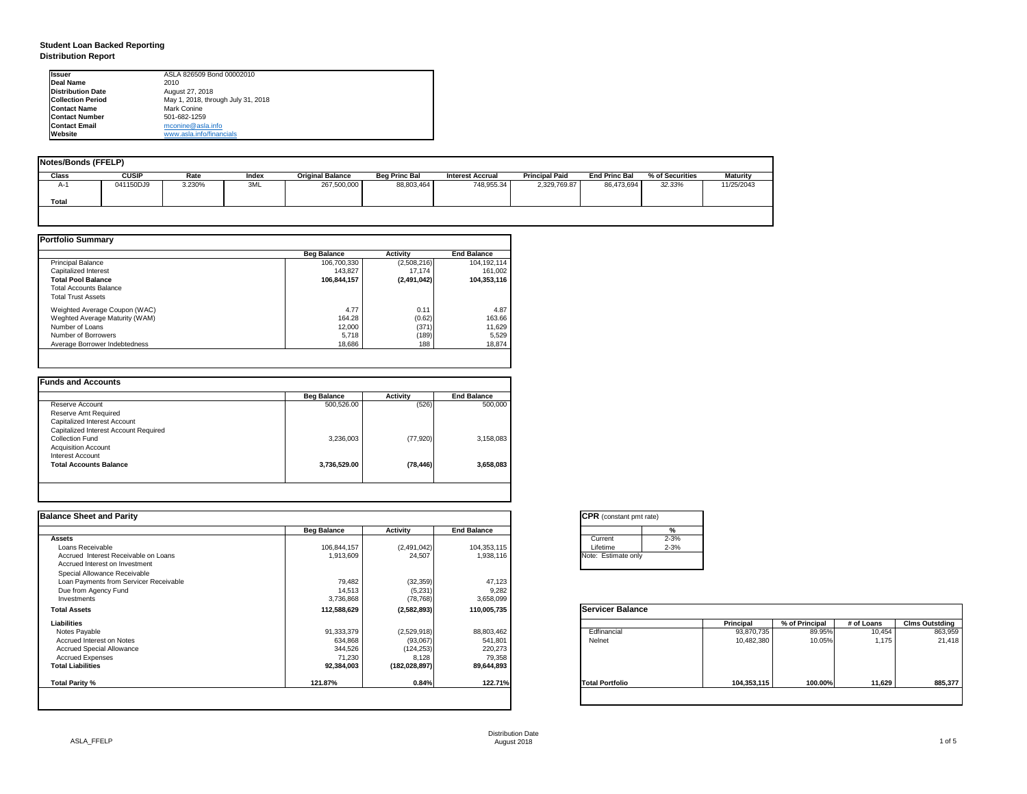## **Student Loan Backed Reporting Distribution Report**

|              | <b>Notes/Bonds (FFELP)</b> |        |       |                         |                      |                         |                       |                      |                 |                 |  |  |  |  |  |
|--------------|----------------------------|--------|-------|-------------------------|----------------------|-------------------------|-----------------------|----------------------|-----------------|-----------------|--|--|--|--|--|
| <b>Class</b> | <b>CUSIP</b>               | Rate   | Index | <b>Original Balance</b> | <b>Beg Princ Bal</b> | <b>Interest Accrual</b> | <b>Principal Paid</b> | <b>End Princ Bal</b> | % of Securities | <b>Maturity</b> |  |  |  |  |  |
| A-1          | 041150DJ9                  | 3.230% | 3ML   | 267,500,000             | 88,803,464           | 748,955.34              | 2,329,769.87          | 86,473,694           | 32.33%          | 11/25/2043      |  |  |  |  |  |
| <b>Total</b> |                            |        |       |                         |                      |                         |                       |                      |                 |                 |  |  |  |  |  |
|              |                            |        |       |                         |                      |                         |                       |                      |                 |                 |  |  |  |  |  |

|                                | <b>Beg Balance</b> | <b>Activity</b> | <b>End Balance</b> |
|--------------------------------|--------------------|-----------------|--------------------|
| Principal Balance              | 106,700,330        | (2,508,216)     | 104,192,114        |
| Capitalized Interest           | 143,827            | 17,174          | 161,002            |
| <b>Total Pool Balance</b>      | 106,844,157        | (2,491,042)     | 104,353,116        |
| <b>Total Accounts Balance</b>  |                    |                 |                    |
| <b>Total Trust Assets</b>      |                    |                 |                    |
| Weighted Average Coupon (WAC)  | 4.77               | 0.11            | 4.87               |
| Weghted Average Maturity (WAM) | 164.28             | (0.62)          | 163.66             |
| Number of Loans                | 12,000             | (371)           | 11,629             |
| Number of Borrowers            | 5,718              | (189)           | 5,529              |
| Average Borrower Indebtedness  | 18,686             | 188             | 18,874             |

|                                       | <b>Beg Balance</b> | <b>Activity</b> | <b>End Balance</b> |
|---------------------------------------|--------------------|-----------------|--------------------|
| Reserve Account                       | 500,526.00         | (526)           | 500,000            |
| Reserve Amt Required                  |                    |                 |                    |
| <b>Capitalized Interest Account</b>   |                    |                 |                    |
| Capitalized Interest Account Required |                    |                 |                    |
| <b>Collection Fund</b>                | 3,236,003          | (77, 920)       | 3,158,083          |
| <b>Acquisition Account</b>            |                    |                 |                    |
| Interest Account                      |                    |                 |                    |
| <b>Total Accounts Balance</b>         | 3,736,529.00       | (78, 446)       | 3,658,083          |

| <b>Ilssuer</b>           | ASLA 826509 Bond 00002010          |
|--------------------------|------------------------------------|
| <b>IDeal Name</b>        | 2010                               |
| <b>Distribution Date</b> | August 27, 2018                    |
| <b>Collection Period</b> | May 1, 2018, through July 31, 2018 |
| <b>IContact Name</b>     | <b>Mark Conine</b>                 |
| <b>IContact Number</b>   | 501-682-1259                       |
| <b>Contact Email</b>     | mconine@asla.info                  |
| <b>IWebsite</b>          | www.asla.info/financials           |

| <b>End Balance</b><br>104,353,115<br>(2,491,042)<br>24,507<br>1,938,116<br>(32, 359)<br>47,123<br>9,282<br>(5,231)<br>(78, 768)<br>3,658,099<br>110,005,735<br>(2,582,893) | Current<br>Lifetime<br>Note: Estimate only<br><b>Servicer Balance</b>                       | %<br>$2 - 3%$<br>$2 - 3%$ |                        |                |            |                       |
|----------------------------------------------------------------------------------------------------------------------------------------------------------------------------|---------------------------------------------------------------------------------------------|---------------------------|------------------------|----------------|------------|-----------------------|
|                                                                                                                                                                            |                                                                                             |                           |                        |                |            |                       |
|                                                                                                                                                                            |                                                                                             |                           |                        |                |            |                       |
|                                                                                                                                                                            |                                                                                             |                           |                        |                |            |                       |
|                                                                                                                                                                            |                                                                                             |                           |                        |                |            |                       |
|                                                                                                                                                                            |                                                                                             |                           |                        |                |            |                       |
|                                                                                                                                                                            |                                                                                             |                           |                        |                |            |                       |
|                                                                                                                                                                            |                                                                                             |                           |                        |                |            |                       |
|                                                                                                                                                                            |                                                                                             |                           |                        |                |            |                       |
|                                                                                                                                                                            |                                                                                             |                           |                        |                |            |                       |
|                                                                                                                                                                            |                                                                                             |                           |                        |                |            |                       |
|                                                                                                                                                                            |                                                                                             |                           | <b>Principal</b>       | % of Principal | # of Loans | <b>Clms Outstding</b> |
| (2,529,918)<br>88,803,462                                                                                                                                                  | Edfinancial                                                                                 |                           | 93,870,735             | 89.95%         | 10,454     | 863,959               |
|                                                                                                                                                                            | Nelnet                                                                                      |                           | 10,482,380             | 10.05%         | 1,175      | 21,418                |
|                                                                                                                                                                            |                                                                                             |                           |                        |                |            |                       |
|                                                                                                                                                                            |                                                                                             |                           |                        |                |            |                       |
|                                                                                                                                                                            |                                                                                             |                           |                        |                |            |                       |
|                                                                                                                                                                            |                                                                                             |                           | 104,353,115            | 100.00%        | 11,629     | 885,377               |
|                                                                                                                                                                            | 541,801<br>(93,067)<br>220,273<br>(124, 253)<br>8,128<br>79,358<br>(182, 028, 897)<br>0.84% | 89,644,893<br>122.71%     | <b>Total Portfolio</b> |                |            |                       |

| CPR (cor    |          |
|-------------|----------|
|             |          |
|             | Current  |
|             | Lifetime |
| Note: Estir |          |
|             |          |

| Servicer |
|----------|
| Edfinanc |
| Nelnet   |
|          |

| tant pmt rate) |          |  |
|----------------|----------|--|
|                | %        |  |
|                | $2 - 3%$ |  |
|                | $2 - 3%$ |  |
| ate only       |          |  |
|                |          |  |

|      | <b>Principal</b> | % of Principal | # of Loans | <b>Clms Outstding</b> |
|------|------------------|----------------|------------|-----------------------|
| аı   | 93,870,735       | 89.95%         | 10,454     | 863,959               |
|      | 10,482,380       | 10.05%         | 1,175      | 21,418                |
|      |                  |                |            |                       |
|      |                  |                |            |                       |
|      |                  |                |            |                       |
| oilo | 104,353,115      | 100.00%        | 11,629     | 885,377               |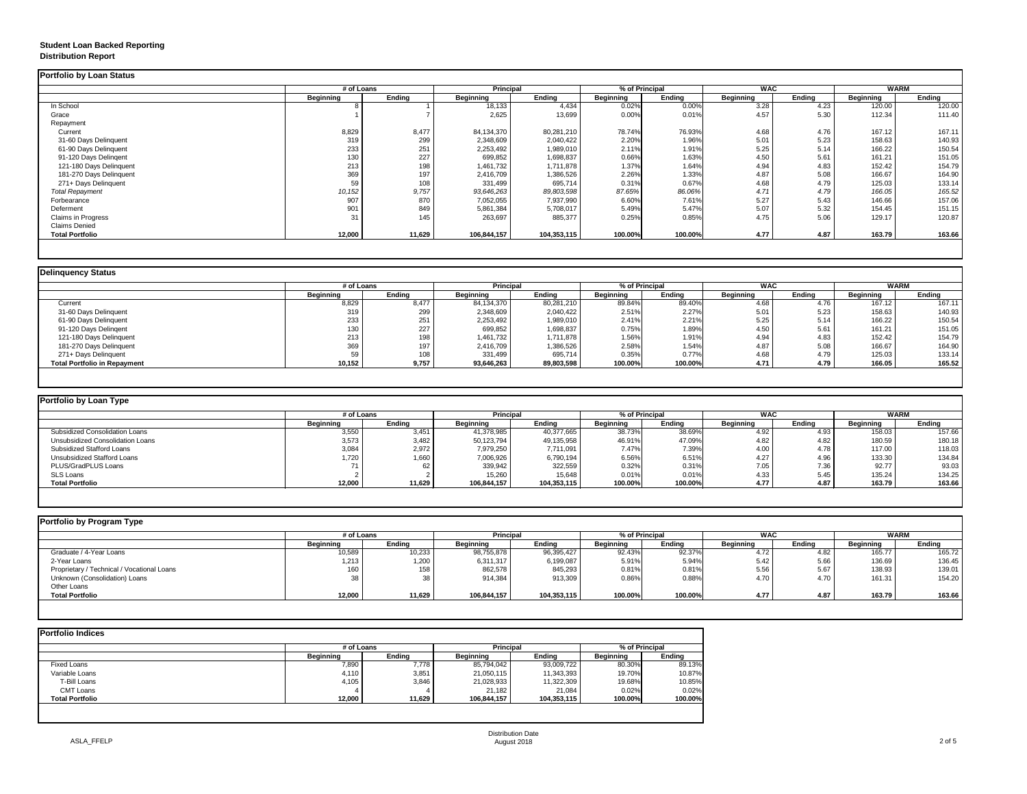# **Student Loan Backed Reporting Distribution Report**

## **Delinquency Status**

|                           |                  | # of Loans    |                  | <b>Principal</b> |                  | % of Principal | <b>WAC</b>       |               | <b>WARM</b>      |               |
|---------------------------|------------------|---------------|------------------|------------------|------------------|----------------|------------------|---------------|------------------|---------------|
|                           | <b>Beginning</b> | <b>Ending</b> | <b>Beginning</b> | <b>Ending</b>    | <b>Beginning</b> | <b>Ending</b>  | <b>Beginning</b> | <b>Ending</b> | <b>Beginning</b> | <b>Ending</b> |
| In School                 |                  |               | 18,133           | 4,434            | 0.02%            | 0.00%          | 3.28             | 4.23          | 120.00           | 120.00        |
| Grace                     |                  |               | 2,625            | 13,699           | 0.00%            | 0.01%          | 4.57             | 5.30          | 112.34           | 111.40        |
| Repayment                 |                  |               |                  |                  |                  |                |                  |               |                  |               |
| Current                   | 8,829            | 8,477         | 84,134,370       | 80,281,210       | 78.74%           | 76.93%         | 4.68             | 4.76          | 167.12           | 167.11        |
| 31-60 Days Delinquent     | 319              | 299           | 2,348,609        | 2,040,422        | 2.20%            | 1.96%          | 5.01             | 5.23          | 158.63           | 140.93        |
| 61-90 Days Delinquent     | 233              | 251           | 2,253,492        | 1,989,010        | 2.11%            | 1.91%          | 5.25             | 5.14          | 166.22           | 150.54        |
| 91-120 Days Delingent     | 130              | 227           | 699,852          | 1,698,837        | 0.66%            | 1.63%          | 4.50             | 5.61          | 161.21           | 151.05        |
| 121-180 Days Delinquent   | 213              | 198           | 1,461,732        | 1,711,878        | 1.37%            | 1.64%          | 4.94             | 4.83          | 152.42           | 154.79        |
| 181-270 Days Delinquent   | 369              | 197           | 2,416,709        | 1,386,526        | 2.26%            | 1.33%          | 4.87             | 5.08          | 166.67           | 164.90        |
| 271+ Days Delinquent      | 59               | 108           | 331,499          | 695,714          | 0.31%            | 0.67%          | 4.68             | 4.79          | 125.03           | 133.14        |
| <b>Total Repayment</b>    | 10,152           | 9,757         | 93,646,263       | 89,803,598       | 87.65%           | 86.06%         | 4.71             | 4.79          | 166.05           | 165.52        |
| Forbearance               | 907              | 870           | 7,052,055        | 7,937,990        | 6.60%            | 7.61%          | 5.27             | 5.43          | 146.66           | 157.06        |
| Deferment                 | 901              | 849           | 5,861,384        | 5,708,017        | 5.49%            | 5.47%          | 5.07             | 5.32          | 154.45           | 151.15        |
| <b>Claims in Progress</b> | 31               | 145           | 263,697          | 885,377          | 0.25%            | 0.85%          | 4.75             | 5.06          | 129.17           | 120.87        |
| <b>Claims Denied</b>      |                  |               |                  |                  |                  |                |                  |               |                  |               |
| <b>Total Portfolio</b>    | 12,000           | 11,629        | 106,844,157      | 104,353,115      | 100.00%          | 100.00%        | 4.77             | 4.87          | 163.79           | 163.66        |

| Delinquency Status                  |                  |               |                  |                  |                  |                |                  |            |                  |               |  |
|-------------------------------------|------------------|---------------|------------------|------------------|------------------|----------------|------------------|------------|------------------|---------------|--|
|                                     |                  | # of Loans    |                  | <b>Principal</b> |                  | % of Principal |                  | <b>WAC</b> |                  | <b>WARM</b>   |  |
|                                     | <b>Beginning</b> | <b>Ending</b> | <b>Beginning</b> | <b>Ending</b>    | <b>Beginning</b> | Ending         | <b>Beginning</b> | Ending     | <b>Beginning</b> | <b>Ending</b> |  |
| Current                             | 8,829            | 8,477         | 84,134,370       | 80,281,210       | 89.84%           | 89.40%         | 4.68             | 4.76       | 167.12           | 167.11        |  |
| 31-60 Days Delinquent               | 319              | 299           | 2,348,609        | 2,040,422        | 2.51%            | 2.27%          | 5.01             | 5.23       | 158.63           | 140.93        |  |
| 61-90 Days Delinquent               | 233              | 251           | 2,253,492        | 1,989,010        | 2.41%            | 2.21%          | 5.25             | 5.14       | 166.22           | 150.54        |  |
| 91-120 Days Delingent               | 130              | 227           | 699,852          | 1,698,837        | 0.75%            | 1.89%          | 4.50             | 5.61       | 161.21           | 151.05        |  |
| 121-180 Days Delinquent             | 213              | 198           | 1,461,732        | 1,711,878        | 1.56%            | 1.91%          | 4.94             | 4.83       | 152.42           | 154.79        |  |
| 181-270 Days Delinquent             | 369              | 197           | 2,416,709        | 1,386,526        | 2.58%            | 1.54%          | 4.87             | 5.08       | 166.67           | 164.90        |  |
| 271+ Days Delinquent                | 59               | 108           | 331,499          | 695,714          | 0.35%            | 0.77%          | 4.68             | 4.79       | 125.03           | 133.14        |  |
| <b>Total Portfolio in Repayment</b> | 10,152           | 9,757         | 93,646,263       | 89,803,598       | 100.00%          | 100.00%        | 4.71             | 4.79       | 166.05           | 165.52        |  |
|                                     |                  |               |                  |                  |                  |                |                  |            |                  |               |  |

| Portfolio by Loan Type                  |                  |               |                  |               |                  |               |                  |        |                  |        |
|-----------------------------------------|------------------|---------------|------------------|---------------|------------------|---------------|------------------|--------|------------------|--------|
|                                         | # of Loans       |               | <b>Principal</b> |               | % of Principal   |               | <b>WAC</b>       |        | WARM             |        |
|                                         | <b>Beginning</b> | <b>Ending</b> | <b>Beginning</b> | <b>Ending</b> | <b>Beginning</b> | <b>Ending</b> | <b>Beginning</b> | Ending | <b>Beginning</b> | Ending |
| <b>Subsidized Consolidation Loans</b>   | 3,550            | 3,451         | 41,378,985       | 40,377,665    | 38.73%           | 38.69%        | 4.92             | 4.93   | 158.03           | 157.66 |
| <b>Unsubsidized Consolidation Loans</b> | 3,573            | 3,482         | 50,123,794       | 49,135,958    | 46.91%           | 47.09%        | 4.82             | 4.82   | 180.59           | 180.18 |
| <b>Subsidized Stafford Loans</b>        | 3,084            | 2,972         | 7,979,250        | 7,711,091     | 7.47%            | 7.39%         | 4.00             | 4.78   | 117.00           | 118.03 |
| <b>Unsubsidized Stafford Loans</b>      | ,720             | 1,660         | 7,006,926        | 6,790,194     | 6.56%            | 6.51%         | 4.27             | 4.96   | 133.30           | 134.84 |
| <b>PLUS/GradPLUS Loans</b>              |                  | 62            | 339,942          | 322,559       | 0.32%            | 0.31%         | 7.05             | 7.36   | 92.77            | 93.03  |
| <b>SLS Loans</b>                        |                  |               | 15,260           | 15,648        | 0.01%            | 0.01%         | 4.33             | 5.45   | 135.24           | 134.25 |
| <b>Total Portfolio</b>                  | 12,000           | 11,629        | 106,844,157      | 104,353,115   | 100.00%          | 100.00%       | 4.77             | 4.87   | 163.79           | 163.66 |

| Portfolio by Program Type                  |                  |               |                  |               |                  |               |                  |               |                  |               |
|--------------------------------------------|------------------|---------------|------------------|---------------|------------------|---------------|------------------|---------------|------------------|---------------|
|                                            | # of Loans       |               | <b>Principal</b> |               | % of Principal   |               | <b>WAC</b>       |               | WARM             |               |
|                                            | <b>Beginning</b> | <b>Ending</b> | <b>Beginning</b> | <b>Ending</b> | <b>Beginning</b> | <b>Ending</b> | <b>Beginning</b> | <b>Ending</b> | <b>Beginning</b> | <b>Ending</b> |
| Graduate / 4-Year Loans                    | 10,589           | 10,233        | 98,755,878       | 96,395,427    | 92.43%           | 92.37%        | 4.72             | 4.82          | 165.77           | 165.72        |
| 2-Year Loans                               | 1,213            | 1,200         | 6,311,317        | 6,199,087     | 5.91%            | 5.94%         | 5.42             | 5.66          | 136.69           | 136.45        |
| Proprietary / Technical / Vocational Loans | 160              | 158           | 862,578          | 845,293       | 0.81%            | 0.81%         | 5.56             | 5.67          | 138.93           | 139.01        |
| Unknown (Consolidation) Loans              | 38               | 38            | 914,384          | 913,309       | 0.86%            | 0.88%         | 4.70             | 4.70          | 161.31           | 154.20        |
| Other Loans                                |                  |               |                  |               |                  |               |                  |               |                  |               |
| <b>Total Portfolio</b>                     | 12,000           | 11,629        | 106,844,157      | 104,353,115   | 100.00%          | 100.00%       | 4.77             | 4.87          | 163.79           | 163.66        |
|                                            |                  |               |                  |               |                  |               |                  |               |                  |               |

|                        |                  | # of Loans    |                  |               | % of Principal   |               |
|------------------------|------------------|---------------|------------------|---------------|------------------|---------------|
|                        | <b>Beginning</b> | <b>Ending</b> | <b>Beginning</b> | <b>Ending</b> | <b>Beginning</b> | <b>Ending</b> |
| <b>Fixed Loans</b>     | 7,890            | 7,778         | 85,794,042       | 93,009,722    | 80.30%           | 89.13%        |
| Variable Loans         | 4,110            | 3,851         | 21,050,115       | 11,343,393    | 19.70%           | 10.87%        |
| T-Bill Loans           | 4,105            | 3,846         | 21,028,933       | 11,322,309    | 19.68%           | 10.85%        |
| <b>CMT Loans</b>       |                  |               | 21,182           | 21,084        | 0.02%            | 0.02%         |
| <b>Total Portfolio</b> | 12,000           | 11,629        | 106,844,157      | 104,353,115   | 100.00%          | 100.00%       |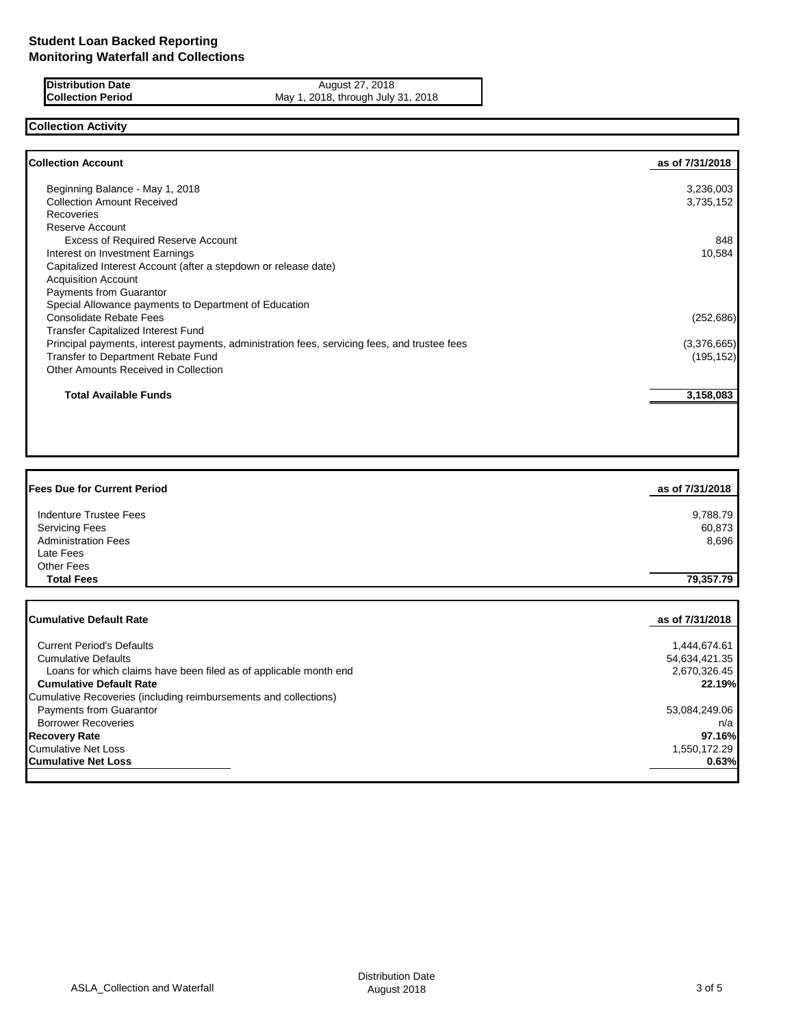**Distribution Date August 27, 2018 Collection Period** May 1, 2018, through July 31, 2018

# **Collection Activity**

| <b>Collection Account</b>                                                                    | as of 7/31/2018 |
|----------------------------------------------------------------------------------------------|-----------------|
| Beginning Balance - May 1, 2018                                                              | 3,236,003       |
| <b>Collection Amount Received</b>                                                            | 3,735,152       |
| <b>Recoveries</b>                                                                            |                 |
| Reserve Account                                                                              |                 |
| <b>Excess of Required Reserve Account</b>                                                    | 848             |
| Interest on Investment Earnings                                                              | 10,584          |
| Capitalized Interest Account (after a stepdown or release date)                              |                 |
| <b>Acquisition Account</b>                                                                   |                 |
| Payments from Guarantor                                                                      |                 |
| Special Allowance payments to Department of Education                                        |                 |
| <b>Consolidate Rebate Fees</b>                                                               | (252, 686)      |
| Transfer Capitalized Interest Fund                                                           |                 |
| Principal payments, interest payments, administration fees, servicing fees, and trustee fees | (3,376,665)     |
| Transfer to Department Rebate Fund                                                           | (195, 152)      |
| Other Amounts Received in Collection                                                         |                 |
| <b>Total Available Funds</b>                                                                 | 3,158,083       |

| <b>Fees Due for Current Period</b>                                | as of 7/31/2018 |
|-------------------------------------------------------------------|-----------------|
| <b>Indenture Trustee Fees</b>                                     | 9,788.79        |
| <b>Servicing Fees</b>                                             | 60,873          |
| <b>Administration Fees</b>                                        | 8,696           |
| Late Fees                                                         |                 |
| <b>Other Fees</b>                                                 |                 |
| <b>Total Fees</b>                                                 | 79,357.79       |
|                                                                   |                 |
| <b>Cumulative Default Rate</b>                                    | as of 7/31/2018 |
| <b>Current Period's Defaults</b>                                  | 1,444,674.61    |
| <b>Cumulative Defaults</b>                                        | 54,634,421.35   |
| Loans for which claims have been filed as of applicable month end | 2,670,326.45    |
| <b>Cumulative Default Rate</b>                                    | 22.19%          |
| Cumulative Recoveries (including reimbursements and collections)  |                 |
| <b>Payments from Guarantor</b>                                    | 53,084,249.06   |
| <b>Borrower Recoveries</b>                                        | n/a             |
| <b>Recovery Rate</b>                                              | 97.16%          |
| <b>Cumulative Net Loss</b>                                        | 1,550,172.29    |
| <b>Cumulative Net Loss</b>                                        | 0.63%           |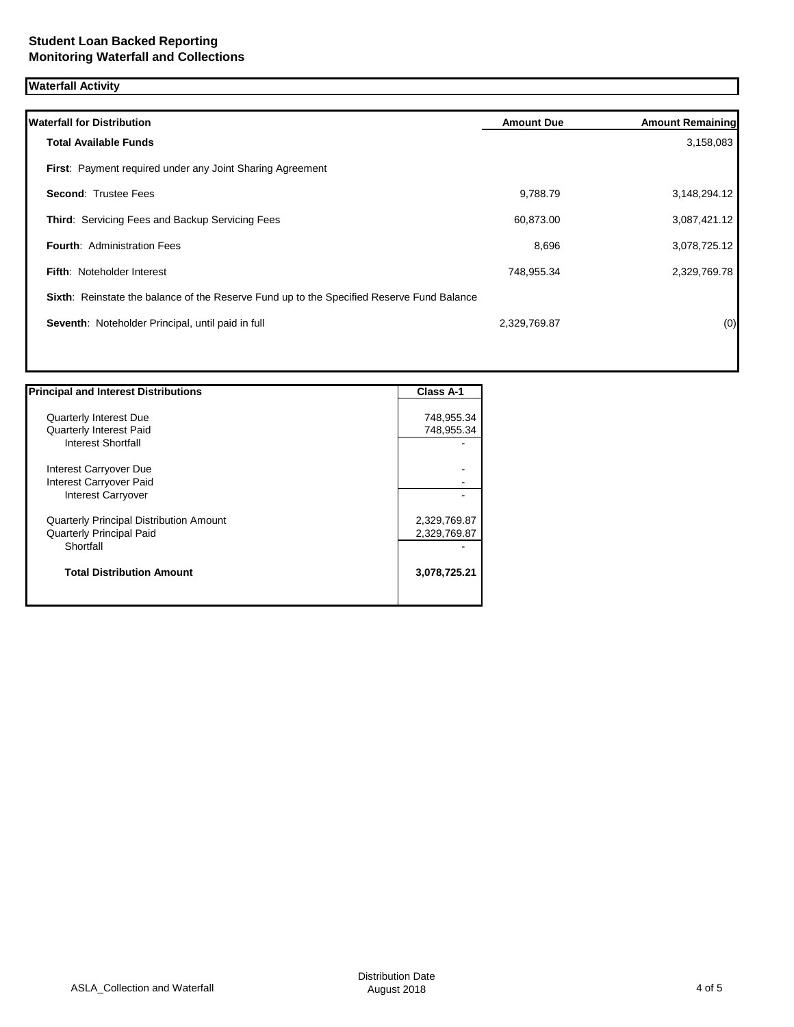# **Waterfall Activity**

| <b>Total Available Funds</b><br>First: Payment required under any Joint Sharing Agreement |              | 3,158,083    |
|-------------------------------------------------------------------------------------------|--------------|--------------|
|                                                                                           |              |              |
|                                                                                           |              |              |
| <b>Second: Trustee Fees</b>                                                               | 9,788.79     | 3,148,294.12 |
| Third: Servicing Fees and Backup Servicing Fees                                           | 60,873.00    | 3,087,421.12 |
| <b>Fourth: Administration Fees</b>                                                        | 8,696        | 3,078,725.12 |
| <b>Fifth: Noteholder Interest</b>                                                         | 748,955.34   | 2,329,769.78 |
| Sixth: Reinstate the balance of the Reserve Fund up to the Specified Reserve Fund Balance |              |              |
| Seventh: Noteholder Principal, until paid in full                                         | 2,329,769.87 | (0)          |

| <b>Principal and Interest Distributions</b>    | <b>Class A-1</b> |
|------------------------------------------------|------------------|
|                                                |                  |
| <b>Quarterly Interest Due</b>                  | 748,955.34       |
| <b>Quarterly Interest Paid</b>                 | 748,955.34       |
| Interest Shortfall                             |                  |
| Interest Carryover Due                         |                  |
| Interest Carryover Paid                        |                  |
| <b>Interest Carryover</b>                      |                  |
| <b>Quarterly Principal Distribution Amount</b> | 2,329,769.87     |
| <b>Quarterly Principal Paid</b>                | 2,329,769.87     |
| Shortfall                                      |                  |
| <b>Total Distribution Amount</b>               | 3,078,725.21     |
|                                                |                  |

1